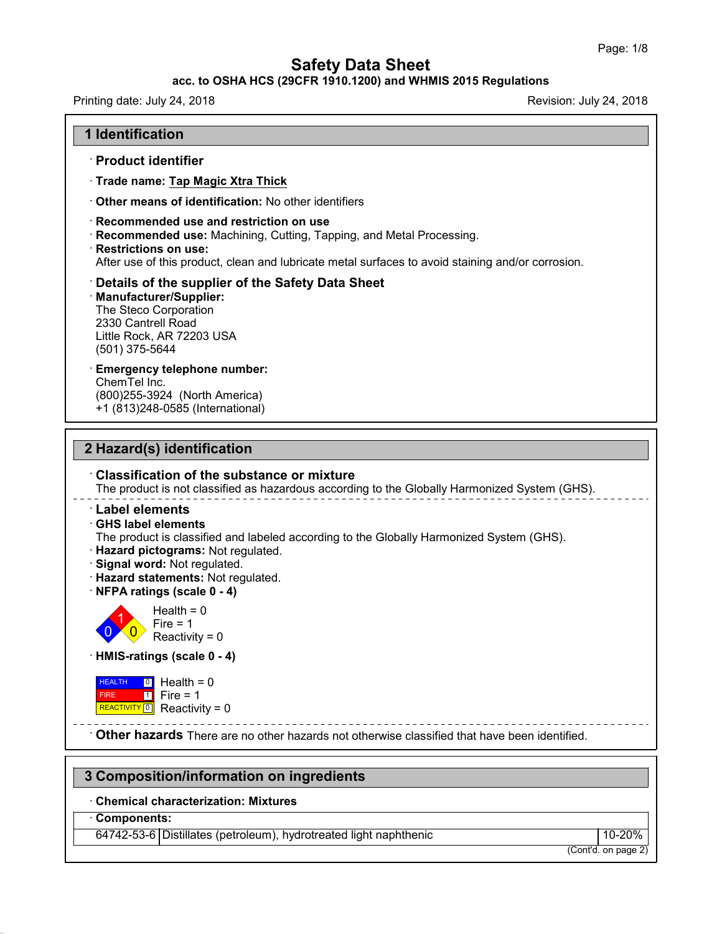### **acc. to OSHA HCS (29CFR 1910.1200) and WHMIS 2015 Regulations**

47.0.13

| Printing date: July 24, 2018                                                                                                                                                                                                                                                                                                                    | Revision: July 24, 2018 |
|-------------------------------------------------------------------------------------------------------------------------------------------------------------------------------------------------------------------------------------------------------------------------------------------------------------------------------------------------|-------------------------|
| <b>1 Identification</b>                                                                                                                                                                                                                                                                                                                         |                         |
| · Product identifier                                                                                                                                                                                                                                                                                                                            |                         |
| · Trade name: Tap Magic Xtra Thick                                                                                                                                                                                                                                                                                                              |                         |
| <b>Other means of identification: No other identifiers</b>                                                                                                                                                                                                                                                                                      |                         |
| Recommended use and restriction on use<br>Recommended use: Machining, Cutting, Tapping, and Metal Processing.<br><b>Restrictions on use:</b><br>After use of this product, clean and lubricate metal surfaces to avoid staining and/or corrosion.                                                                                               |                         |
| Details of the supplier of the Safety Data Sheet<br><b>Manufacturer/Supplier:</b><br>The Steco Corporation<br>2330 Cantrell Road<br>Little Rock, AR 72203 USA<br>(501) 375-5644                                                                                                                                                                 |                         |
| <b>Emergency telephone number:</b><br>ChemTel Inc.<br>(800) 255-3924 (North America)<br>+1 (813)248-0585 (International)                                                                                                                                                                                                                        |                         |
| <b>Classification of the substance or mixture</b><br>The product is not classified as hazardous according to the Globally Harmonized System (GHS).<br>$^{\cdot}$ Label elements<br><b>GHS label elements</b><br>The product is classified and labeled according to the Globally Harmonized System (GHS).<br>· Hazard pictograms: Not regulated. |                         |
| Signal word: Not regulated.<br>· Hazard statements: Not regulated.<br>· NFPA ratings (scale 0 - 4)                                                                                                                                                                                                                                              |                         |
| Health = $0$<br>Fire $= 1$<br>$0\times0$<br>Reactivity = $0$                                                                                                                                                                                                                                                                                    |                         |
| HMIS-ratings (scale 0 - 4)                                                                                                                                                                                                                                                                                                                      |                         |
| $\boxed{0}$ Health = 0<br><b>HEALTH</b><br>$1$ Fire = 1<br><b>FIRE</b>                                                                                                                                                                                                                                                                          |                         |
| REACTIVITY 0 Reactivity = $0$                                                                                                                                                                                                                                                                                                                   |                         |
|                                                                                                                                                                                                                                                                                                                                                 |                         |
|                                                                                                                                                                                                                                                                                                                                                 |                         |
|                                                                                                                                                                                                                                                                                                                                                 |                         |
| <b>Other hazards</b> There are no other hazards not otherwise classified that have been identified.<br>3 Composition/information on ingredients<br><b>Chemical characterization: Mixtures</b><br><b>Components:</b><br>64742-53-6 Distillates (petroleum), hydrotreated light naphthenic                                                        | 10-20%                  |

(Cont'd. on page 2)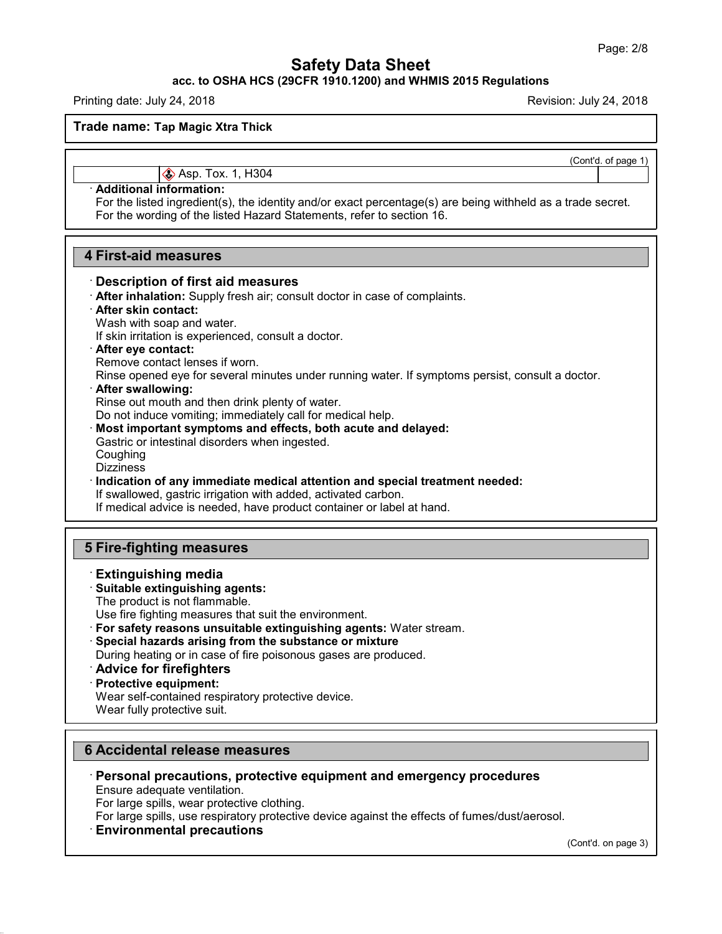**acc. to OSHA HCS (29CFR 1910.1200) and WHMIS 2015 Regulations**

Printing date: July 24,2018 Revision: July 24,2018

**Trade name: Tap Magic Xtra Thick**

(Cont'd. of page 1)

**Asp. Tox. 1, H304** 

### · **Additional information:**

For the listed ingredient(s), the identity and/or exact percentage(s) are being withheld as a trade secret. For the wording of the listed Hazard Statements, refer to section 16.

### **4 First-aid measures**

### · **Description of first aid measures**

· **After inhalation:** Supply fresh air; consult doctor in case of complaints.

### · **After skin contact:**

Wash with soap and water.

If skin irritation is experienced, consult a doctor.

#### · **After eye contact:**

Remove contact lenses if worn.

Rinse opened eye for several minutes under running water. If symptoms persist, consult a doctor.

#### · **After swallowing:**

Rinse out mouth and then drink plenty of water.

Do not induce vomiting; immediately call for medical help.

· **Most important symptoms and effects, both acute and delayed:**

Gastric or intestinal disorders when ingested.

**Coughing** 

**Dizziness** 

· **Indication of any immediate medical attention and special treatment needed:**

If swallowed, gastric irrigation with added, activated carbon.

If medical advice is needed, have product container or label at hand.

## **5 Fire-fighting measures**

### · **Extinguishing media**

### · **Suitable extinguishing agents:**

The product is not flammable.

Use fire fighting measures that suit the environment.

· **For safety reasons unsuitable extinguishing agents:** Water stream.

· **Special hazards arising from the substance or mixture**

During heating or in case of fire poisonous gases are produced.

· **Advice for firefighters**

### · **Protective equipment:**

Wear self-contained respiratory protective device.

Wear fully protective suit.

### **6 Accidental release measures**

· **Personal precautions, protective equipment and emergency procedures** Ensure adequate ventilation.

For large spills, wear protective clothing.

For large spills, use respiratory protective device against the effects of fumes/dust/aerosol.

### · **Environmental precautions**

47.0.13

(Cont'd. on page 3)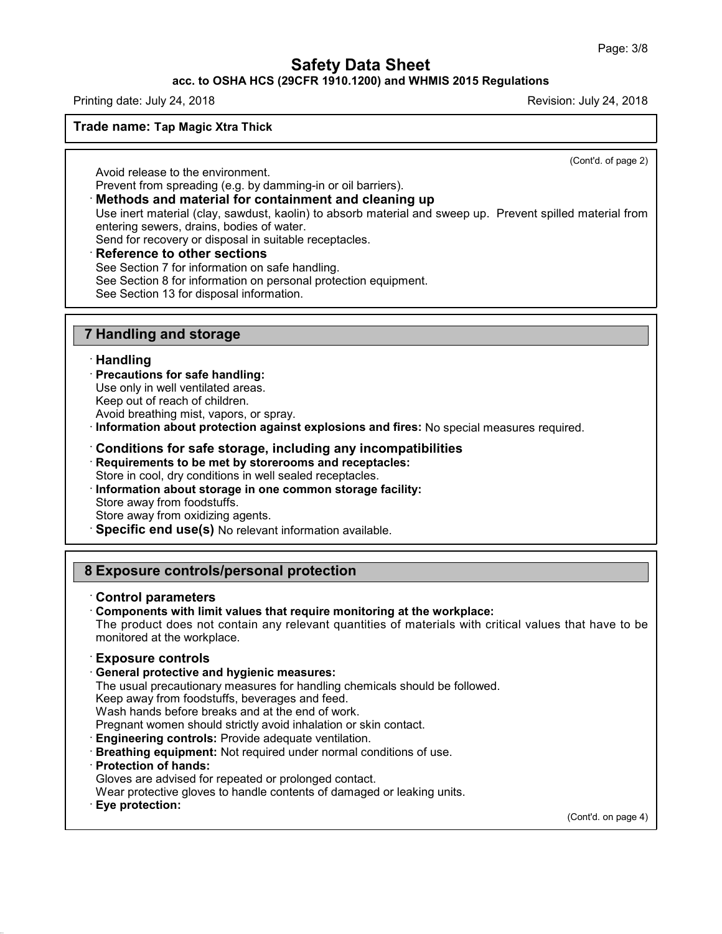### **acc. to OSHA HCS (29CFR 1910.1200) and WHMIS 2015 Regulations**

Printing date: July 24,2018 Revision: July 24,2018

### **Trade name: Tap Magic Xtra Thick**

(Cont'd. of page 2)

Avoid release to the environment.

Prevent from spreading (e.g. by damming-in or oil barriers).

### · **Methods and material for containment and cleaning up**

Use inert material (clay, sawdust, kaolin) to absorb material and sweep up. Prevent spilled material from entering sewers, drains, bodies of water.

Send for recovery or disposal in suitable receptacles.

### · **Reference to other sections**

See Section 7 for information on safe handling.

See Section 8 for information on personal protection equipment.

See Section 13 for disposal information.

## **7 Handling and storage**

### · **Handling**

- · **Precautions for safe handling:**
- Use only in well ventilated areas.

Keep out of reach of children.

Avoid breathing mist, vapors, or spray.

· **Information about protection against explosions and fires:** No special measures required.

### · **Conditions for safe storage, including any incompatibilities**

· **Requirements to be met by storerooms and receptacles:**

Store in cool, dry conditions in well sealed receptacles.

- · **Information about storage in one common storage facility:** Store away from foodstuffs. Store away from oxidizing agents.
- · **Specific end use(s)** No relevant information available.

## **8 Exposure controls/personal protection**

- · **Control parameters**
- · **Components with limit values that require monitoring at the workplace:**

The product does not contain any relevant quantities of materials with critical values that have to be monitored at the workplace.

### · **Exposure controls**

### · **General protective and hygienic measures:**

The usual precautionary measures for handling chemicals should be followed.

Keep away from foodstuffs, beverages and feed.

Wash hands before breaks and at the end of work.

Pregnant women should strictly avoid inhalation or skin contact.

· **Engineering controls:** Provide adequate ventilation.

· **Breathing equipment:** Not required under normal conditions of use.

· **Protection of hands:**

Gloves are advised for repeated or prolonged contact.

Wear protective gloves to handle contents of damaged or leaking units.

· **Eye protection:**

47.0.13

(Cont'd. on page 4)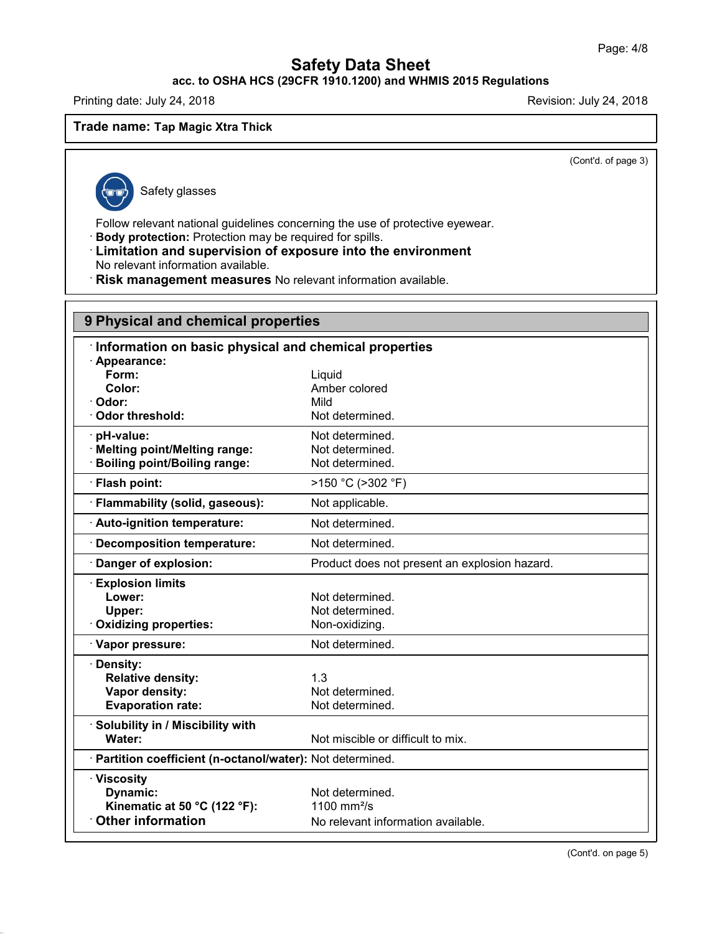# **acc. to OSHA HCS (29CFR 1910.1200) and WHMIS 2015 Regulations**

Printing date: July 24, 2018 **Printing date: July 24, 2018** Revision: July 24, 2018

### **Trade name: Tap Magic Xtra Thick**

(Cont'd. of page 3)

47.0.13

Safety glasses

Follow relevant national guidelines concerning the use of protective eyewear.

· **Body protection:** Protection may be required for spills.

· **Limitation and supervision of exposure into the environment** No relevant information available.

· **Risk management measures** No relevant information available.

| 9 Physical and chemical properties                         |                                               |  |
|------------------------------------------------------------|-----------------------------------------------|--|
| Information on basic physical and chemical properties      |                                               |  |
| · Appearance:                                              |                                               |  |
| Form:                                                      | Liquid                                        |  |
| Color:                                                     | Amber colored                                 |  |
| Odor:<br><b>Odor threshold:</b>                            | Mild                                          |  |
|                                                            | Not determined.                               |  |
| pH-value:                                                  | Not determined.                               |  |
| · Melting point/Melting range:                             | Not determined.                               |  |
| <b>Boiling point/Boiling range:</b>                        | Not determined.                               |  |
| · Flash point:                                             | >150 °C (>302 °F)                             |  |
| · Flammability (solid, gaseous):                           | Not applicable.                               |  |
| · Auto-ignition temperature:                               | Not determined.                               |  |
| <b>Decomposition temperature:</b>                          | Not determined.                               |  |
| Danger of explosion:                                       | Product does not present an explosion hazard. |  |
| <b>Explosion limits</b>                                    |                                               |  |
| Lower:                                                     | Not determined.                               |  |
| Upper:                                                     | Not determined.                               |  |
| Oxidizing properties:                                      | Non-oxidizing.                                |  |
| · Vapor pressure:                                          | Not determined.                               |  |
| · Density:                                                 |                                               |  |
| <b>Relative density:</b>                                   | 1.3                                           |  |
| Vapor density:                                             | Not determined.                               |  |
| <b>Evaporation rate:</b>                                   | Not determined.                               |  |
| · Solubility in / Miscibility with                         |                                               |  |
| Water:                                                     | Not miscible or difficult to mix.             |  |
| · Partition coefficient (n-octanol/water): Not determined. |                                               |  |
| · Viscosity                                                |                                               |  |
| Dynamic:                                                   | Not determined.                               |  |
| Kinematic at 50 °C (122 °F):                               | 1100 mm $\frac{2}{s}$                         |  |
| <b>Other information</b>                                   | No relevant information available.            |  |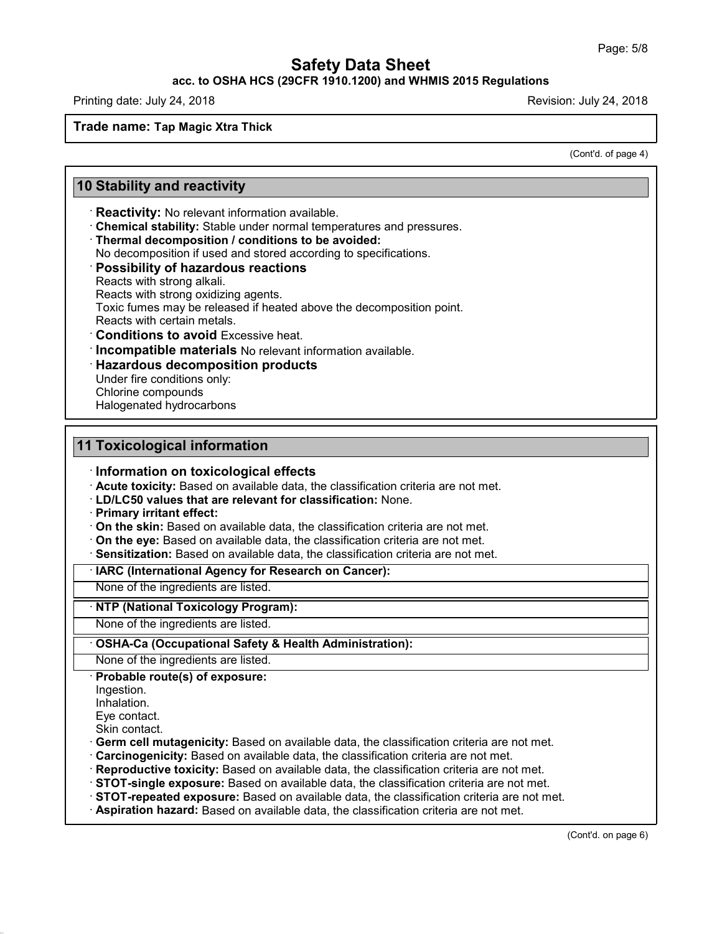### **acc. to OSHA HCS (29CFR 1910.1200) and WHMIS 2015 Regulations**

Printing date: July 24,2018 Revision: July 24,2018

### **Trade name: Tap Magic Xtra Thick**

(Cont'd. of page 4)

## **10 Stability and reactivity**

- · **Reactivity:** No relevant information available.
- · **Chemical stability:** Stable under normal temperatures and pressures.
- · **Thermal decomposition / conditions to be avoided:**
- No decomposition if used and stored according to specifications.

#### · **Possibility of hazardous reactions**

Reacts with strong alkali.

Reacts with strong oxidizing agents.

Toxic fumes may be released if heated above the decomposition point.

Reacts with certain metals.

- · **Conditions to avoid** Excessive heat.
- · **Incompatible materials** No relevant information available.
- · **Hazardous decomposition products**

Under fire conditions only:

Chlorine compounds

Halogenated hydrocarbons

### **11 Toxicological information**

### · **Information on toxicological effects**

· **Acute toxicity:** Based on available data, the classification criteria are not met.

- · **LD/LC50 values that are relevant for classification:** None.
- · **Primary irritant effect:**
- · **On the skin:** Based on available data, the classification criteria are not met.
- · **On the eye:** Based on available data, the classification criteria are not met.
- · **Sensitization:** Based on available data, the classification criteria are not met.

### · **IARC (International Agency for Research on Cancer):**

None of the ingredients are listed.

### · **NTP (National Toxicology Program):**

None of the ingredients are listed.

### · **OSHA-Ca (Occupational Safety & Health Administration):**

None of the ingredients are listed.

### · **Probable route(s) of exposure:**

Ingestion.

Inhalation.

47.0.13

Eye contact.

Skin contact.

- · **Germ cell mutagenicity:** Based on available data, the classification criteria are not met.
- · **Carcinogenicity:** Based on available data, the classification criteria are not met.
- · **Reproductive toxicity:** Based on available data, the classification criteria are not met.
- · **STOT-single exposure:** Based on available data, the classification criteria are not met.
- · **STOT-repeated exposure:** Based on available data, the classification criteria are not met.
- · **Aspiration hazard:** Based on available data, the classification criteria are not met.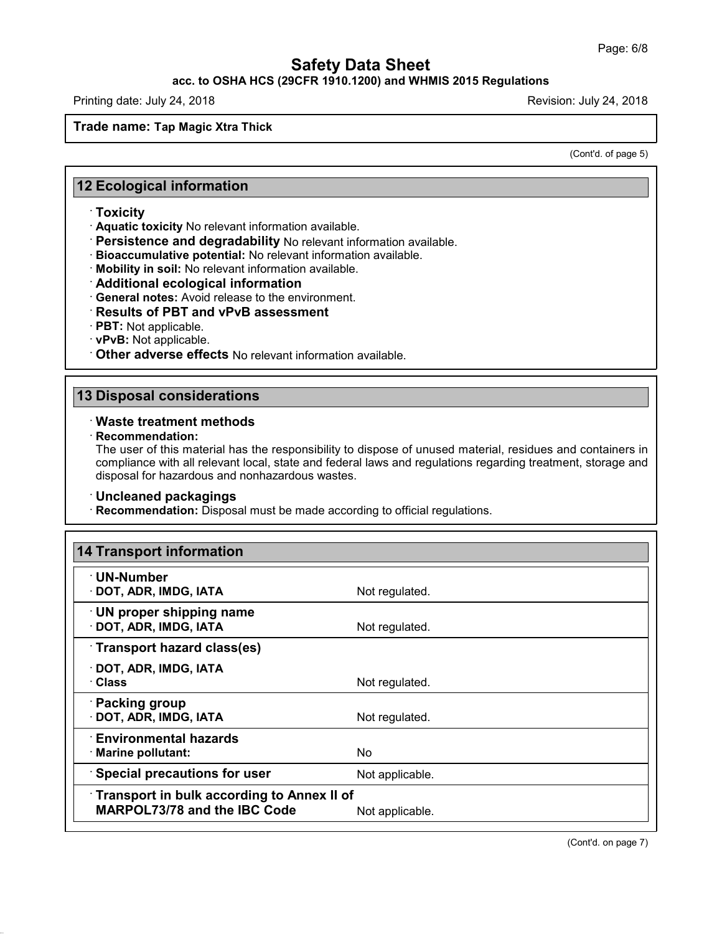### **acc. to OSHA HCS (29CFR 1910.1200) and WHMIS 2015 Regulations**

Printing date: July 24,2018 Revision: July 24,2018

### **Trade name: Tap Magic Xtra Thick**

(Cont'd. of page 5)

### **12 Ecological information**

### · **Toxicity**

· **Aquatic toxicity** No relevant information available.

- · **Persistence and degradability** No relevant information available.
- · **Bioaccumulative potential:** No relevant information available.
- · **Mobility in soil:** No relevant information available.
- · **Additional ecological information**
- · **General notes:** Avoid release to the environment.

### · **Results of PBT and vPvB assessment**

- · **PBT:** Not applicable.
- · **vPvB:** Not applicable.
- · **Other adverse effects** No relevant information available.

### **13 Disposal considerations**

### · **Waste treatment methods**

· **Recommendation:**

47.0.13

The user of this material has the responsibility to dispose of unused material, residues and containers in compliance with all relevant local, state and federal laws and regulations regarding treatment, storage and disposal for hazardous and nonhazardous wastes.

### · **Uncleaned packagings**

· **Recommendation:** Disposal must be made according to official regulations.

| 14 Transport information                                                          |                 |
|-----------------------------------------------------------------------------------|-----------------|
| $\cdot$ UN-Number<br>· DOT, ADR, IMDG, IATA                                       | Not regulated.  |
| $\cdot$ UN proper shipping name<br>· DOT, ADR, IMDG, IATA                         | Not regulated.  |
| Transport hazard class(es)                                                        |                 |
| $\cdot$ DOT, ADR, IMDG, IATA<br>· Class                                           | Not regulated.  |
| · Packing group<br>· DOT, ADR, IMDG, IATA                                         | Not regulated.  |
| <b>Environmental hazards</b><br>· Marine pollutant:                               | No.             |
| <b>Special precautions for user</b>                                               | Not applicable. |
| Transport in bulk according to Annex II of<br><b>MARPOL73/78 and the IBC Code</b> | Not applicable. |

(Cont'd. on page 7)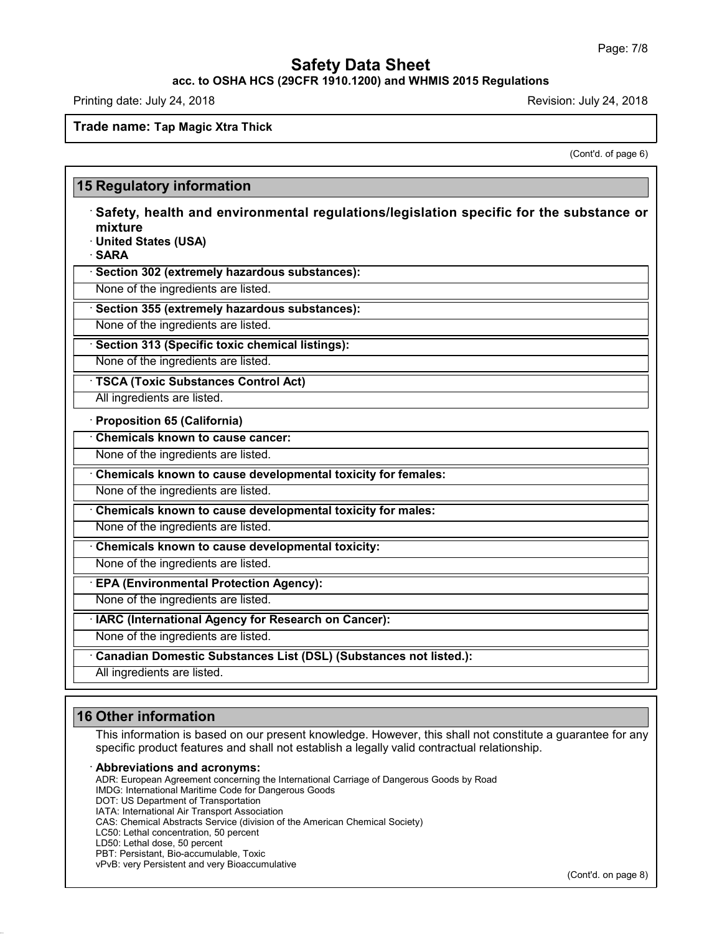**acc. to OSHA HCS (29CFR 1910.1200) and WHMIS 2015 Regulations**

Printing date: July 24, 2018 **Printing date: July 24, 2018** Revision: July 24, 2018

### **Trade name: Tap Magic Xtra Thick**

(Cont'd. of page 6)

| mixture<br>· United States (USA)<br>· SARA | $\cdot$ Safety, health and environmental regulations/legislation specific for the substance or |
|--------------------------------------------|------------------------------------------------------------------------------------------------|
|                                            | · Section 302 (extremely hazardous substances):                                                |
|                                            | None of the ingredients are listed.                                                            |
|                                            | · Section 355 (extremely hazardous substances):                                                |
|                                            | None of the ingredients are listed.                                                            |
|                                            | · Section 313 (Specific toxic chemical listings):                                              |
|                                            | None of the ingredients are listed.                                                            |
|                                            | · TSCA (Toxic Substances Control Act)                                                          |
|                                            | All ingredients are listed.                                                                    |
|                                            | · Proposition 65 (California)                                                                  |
|                                            | Chemicals known to cause cancer:                                                               |
|                                            | None of the ingredients are listed.                                                            |
|                                            | Chemicals known to cause developmental toxicity for females:                                   |
|                                            | None of the ingredients are listed.                                                            |
|                                            | Chemicals known to cause developmental toxicity for males:                                     |
|                                            | None of the ingredients are listed.                                                            |
|                                            | Chemicals known to cause developmental toxicity:                                               |
|                                            | None of the ingredients are listed.                                                            |
|                                            | <b>EPA (Environmental Protection Agency):</b>                                                  |
|                                            | None of the ingredients are listed.                                                            |
|                                            | · IARC (International Agency for Research on Cancer):                                          |
|                                            | None of the ingredients are listed.                                                            |
|                                            | Canadian Domestic Substances List (DSL) (Substances not listed.):                              |

# **16 Other information**

This information is based on our present knowledge. However, this shall not constitute a guarantee for any specific product features and shall not establish a legally valid contractual relationship.

### · **Abbreviations and acronyms:**

ADR: European Agreement concerning the International Carriage of Dangerous Goods by Road

- IMDG: International Maritime Code for Dangerous Goods
- DOT: US Department of Transportation
- IATA: International Air Transport Association
- CAS: Chemical Abstracts Service (division of the American Chemical Society)
- LC50: Lethal concentration, 50 percent
- LD50: Lethal dose, 50 percent

47.0.13

- PBT: Persistant, Bio-accumulable, Toxic
- vPvB: very Persistent and very Bioaccumulative

(Cont'd. on page 8)